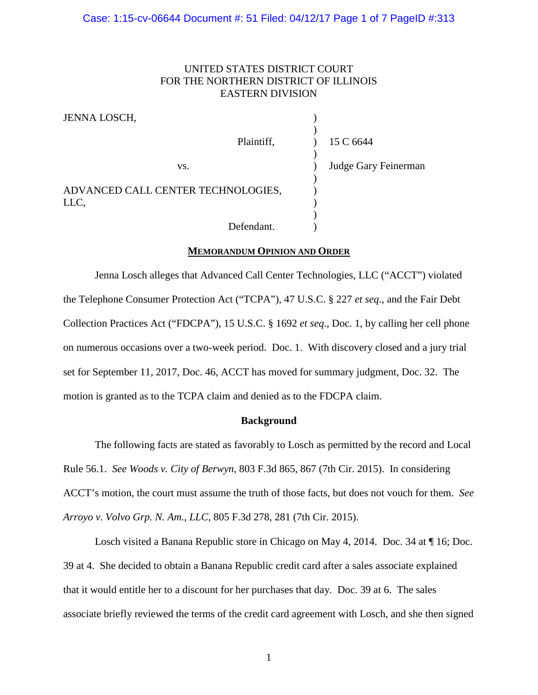# UNITED STATES DISTRICT COURT FOR THE NORTHERN DISTRICT OF ILLINOIS EASTERN DIVISION

| JENNA LOSCH,                       |            |                      |
|------------------------------------|------------|----------------------|
|                                    | Plaintiff, | 15 C 6644            |
| VS.                                |            | Judge Gary Feinerman |
| ADVANCED CALL CENTER TECHNOLOGIES, |            |                      |
| LLC,                               |            |                      |
|                                    |            |                      |
|                                    | Defendant. |                      |

### **MEMORANDUM OPINION AND ORDER**

Jenna Losch alleges that Advanced Call Center Technologies, LLC ("ACCT") violated the Telephone Consumer Protection Act ("TCPA"), 47 U.S.C. § 227 *et seq*., and the Fair Debt Collection Practices Act ("FDCPA"), 15 U.S.C. § 1692 *et seq*., Doc. 1, by calling her cell phone on numerous occasions over a two-week period. Doc. 1. With discovery closed and a jury trial set for September 11, 2017, Doc. 46, ACCT has moved for summary judgment, Doc. 32. The motion is granted as to the TCPA claim and denied as to the FDCPA claim.

### **Background**

The following facts are stated as favorably to Losch as permitted by the record and Local Rule 56.1. *See Woods v. City of Berwyn*, 803 F.3d 865, 867 (7th Cir. 2015). In considering ACCT's motion, the court must assume the truth of those facts, but does not vouch for them. *See Arroyo v. Volvo Grp. N. Am., LLC*, 805 F.3d 278, 281 (7th Cir. 2015).

Losch visited a Banana Republic store in Chicago on May 4, 2014. Doc. 34 at ¶ 16; Doc. 39 at 4. She decided to obtain a Banana Republic credit card after a sales associate explained that it would entitle her to a discount for her purchases that day. Doc. 39 at 6. The sales associate briefly reviewed the terms of the credit card agreement with Losch, and she then signed

1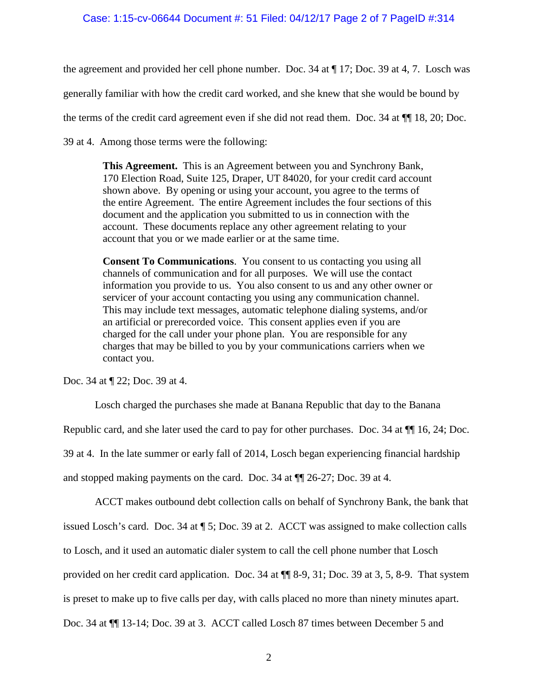# Case: 1:15-cv-06644 Document #: 51 Filed: 04/12/17 Page 2 of 7 PageID #:314

the agreement and provided her cell phone number. Doc. 34 at ¶ 17; Doc. 39 at 4, 7. Losch was

generally familiar with how the credit card worked, and she knew that she would be bound by

the terms of the credit card agreement even if she did not read them. Doc. 34 at ¶¶ 18, 20; Doc.

39 at 4. Among those terms were the following:

**This Agreement.** This is an Agreement between you and Synchrony Bank, 170 Election Road, Suite 125, Draper, UT 84020, for your credit card account shown above. By opening or using your account, you agree to the terms of the entire Agreement. The entire Agreement includes the four sections of this document and the application you submitted to us in connection with the account. These documents replace any other agreement relating to your account that you or we made earlier or at the same time.

**Consent To Communications**. You consent to us contacting you using all channels of communication and for all purposes. We will use the contact information you provide to us. You also consent to us and any other owner or servicer of your account contacting you using any communication channel. This may include text messages, automatic telephone dialing systems, and/or an artificial or prerecorded voice. This consent applies even if you are charged for the call under your phone plan. You are responsible for any charges that may be billed to you by your communications carriers when we contact you.

Doc. 34 at ¶ 22; Doc. 39 at 4.

Losch charged the purchases she made at Banana Republic that day to the Banana Republic card, and she later used the card to pay for other purchases. Doc. 34 at  $\P$  16, 24; Doc. 39 at 4. In the late summer or early fall of 2014, Losch began experiencing financial hardship and stopped making payments on the card. Doc. 34 at ¶¶ 26-27; Doc. 39 at 4.

ACCT makes outbound debt collection calls on behalf of Synchrony Bank, the bank that issued Losch's card. Doc. 34 at ¶ 5; Doc. 39 at 2. ACCT was assigned to make collection calls to Losch, and it used an automatic dialer system to call the cell phone number that Losch provided on her credit card application. Doc. 34 at ¶¶ 8-9, 31; Doc. 39 at 3, 5, 8-9. That system is preset to make up to five calls per day, with calls placed no more than ninety minutes apart. Doc. 34 at ¶¶ 13-14; Doc. 39 at 3. ACCT called Losch 87 times between December 5 and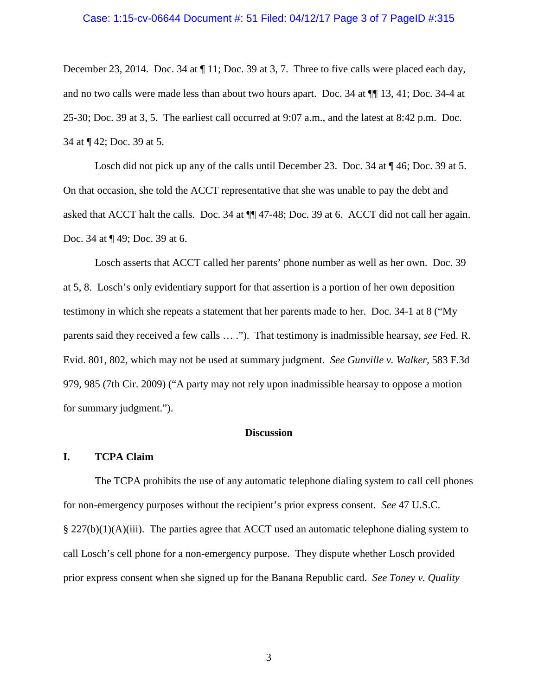### Case: 1:15-cv-06644 Document #: 51 Filed: 04/12/17 Page 3 of 7 PageID #:315

December 23, 2014. Doc. 34 at  $\P$  11; Doc. 39 at 3, 7. Three to five calls were placed each day, and no two calls were made less than about two hours apart. Doc. 34 at ¶¶ 13, 41; Doc. 34-4 at 25-30; Doc. 39 at 3, 5. The earliest call occurred at 9:07 a.m., and the latest at 8:42 p.m. Doc. 34 at ¶ 42; Doc. 39 at 5.

Losch did not pick up any of the calls until December 23. Doc. 34 at  $\P$  46; Doc. 39 at 5. On that occasion, she told the ACCT representative that she was unable to pay the debt and asked that ACCT halt the calls. Doc. 34 at ¶¶ 47-48; Doc. 39 at 6. ACCT did not call her again. Doc. 34 at ¶ 49; Doc. 39 at 6.

Losch asserts that ACCT called her parents' phone number as well as her own. Doc. 39 at 5, 8. Losch's only evidentiary support for that assertion is a portion of her own deposition testimony in which she repeats a statement that her parents made to her. Doc. 34-1 at 8 ("My parents said they received a few calls … ."). That testimony is inadmissible hearsay, *see* Fed. R. Evid. 801, 802, which may not be used at summary judgment. *See Gunville v. Walker*, 583 F.3d 979, 985 (7th Cir. 2009) ("A party may not rely upon inadmissible hearsay to oppose a motion for summary judgment.").

### **Discussion**

#### **I. TCPA Claim**

The TCPA prohibits the use of any automatic telephone dialing system to call cell phones for non-emergency purposes without the recipient's prior express consent. *See* 47 U.S.C.  $\S 227(b)(1)(A)(iii)$ . The parties agree that ACCT used an automatic telephone dialing system to call Losch's cell phone for a non-emergency purpose. They dispute whether Losch provided prior express consent when she signed up for the Banana Republic card. *See Toney v. Quality* 

3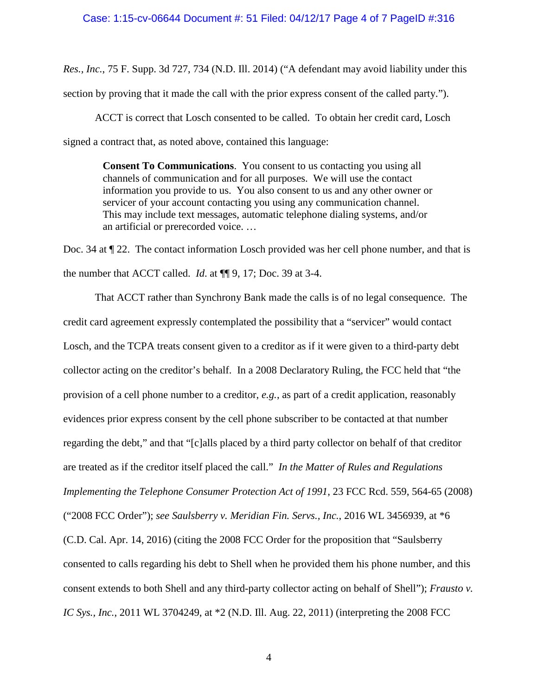*Res., Inc.*, 75 F. Supp. 3d 727, 734 (N.D. Ill. 2014) ("A defendant may avoid liability under this section by proving that it made the call with the prior express consent of the called party.").

ACCT is correct that Losch consented to be called. To obtain her credit card, Losch signed a contract that, as noted above, contained this language:

> **Consent To Communications**. You consent to us contacting you using all channels of communication and for all purposes. We will use the contact information you provide to us. You also consent to us and any other owner or servicer of your account contacting you using any communication channel. This may include text messages, automatic telephone dialing systems, and/or an artificial or prerecorded voice. …

Doc. 34 at ¶ 22. The contact information Losch provided was her cell phone number, and that is the number that ACCT called. *Id*. at ¶¶ 9, 17; Doc. 39 at 3-4.

That ACCT rather than Synchrony Bank made the calls is of no legal consequence. The credit card agreement expressly contemplated the possibility that a "servicer" would contact Losch, and the TCPA treats consent given to a creditor as if it were given to a third-party debt collector acting on the creditor's behalf. In a 2008 Declaratory Ruling, the FCC held that "the provision of a cell phone number to a creditor, *e.g.*, as part of a credit application, reasonably evidences prior express consent by the cell phone subscriber to be contacted at that number regarding the debt," and that "[c]alls placed by a third party collector on behalf of that creditor are treated as if the creditor itself placed the call." *In the Matter of Rules and Regulations Implementing the Telephone Consumer Protection Act of 1991*, 23 FCC Rcd. 559, 564-65 (2008) ("2008 FCC Order"); *see Saulsberry v. Meridian Fin. Servs., Inc.*, 2016 WL 3456939, at \*6 (C.D. Cal. Apr. 14, 2016) (citing the 2008 FCC Order for the proposition that "Saulsberry consented to calls regarding his debt to Shell when he provided them his phone number, and this consent extends to both Shell and any third-party collector acting on behalf of Shell"); *Frausto v. IC Sys., Inc.*, 2011 WL 3704249, at \*2 (N.D. Ill. Aug. 22, 2011) (interpreting the 2008 FCC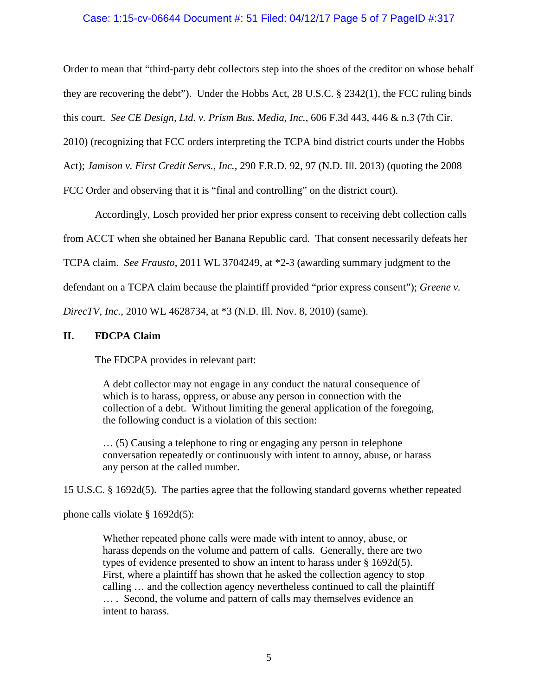# Case: 1:15-cv-06644 Document #: 51 Filed: 04/12/17 Page 5 of 7 PageID #:317

Order to mean that "third-party debt collectors step into the shoes of the creditor on whose behalf they are recovering the debt"). Under the Hobbs Act, 28 U.S.C. § 2342(1), the FCC ruling binds this court. *See CE Design, Ltd. v. Prism Bus. Media, Inc.*, 606 F.3d 443, 446 & n.3 (7th Cir.

2010) (recognizing that FCC orders interpreting the TCPA bind district courts under the Hobbs

Act); *Jamison v. First Credit Servs., Inc.*, 290 F.R.D. 92, 97 (N.D. Ill. 2013) (quoting the 2008

FCC Order and observing that it is "final and controlling" on the district court).

Accordingly, Losch provided her prior express consent to receiving debt collection calls from ACCT when she obtained her Banana Republic card. That consent necessarily defeats her TCPA claim. *See Frausto*, 2011 WL 3704249, at \*2-3 (awarding summary judgment to the defendant on a TCPA claim because the plaintiff provided "prior express consent"); *Greene v.* 

*DirecTV, Inc.*, 2010 WL 4628734, at \*3 (N.D. Ill. Nov. 8, 2010) (same).

# **II. FDCPA Claim**

The FDCPA provides in relevant part:

A debt collector may not engage in any conduct the natural consequence of which is to harass, oppress, or abuse any person in connection with the collection of a debt. Without limiting the general application of the foregoing, the following conduct is a violation of this section:

… (5) Causing a telephone to ring or engaging any person in telephone conversation repeatedly or continuously with intent to annoy, abuse, or harass any person at the called number.

15 U.S.C. § 1692d(5). The parties agree that the following standard governs whether repeated

phone calls violate § 1692d(5):

Whether repeated phone calls were made with intent to annoy, abuse, or harass depends on the volume and pattern of calls. Generally, there are two types of evidence presented to show an intent to harass under § 1692d(5). First, where a plaintiff has shown that he asked the collection agency to stop calling … and the collection agency nevertheless continued to call the plaintiff … . Second, the volume and pattern of calls may themselves evidence an intent to harass.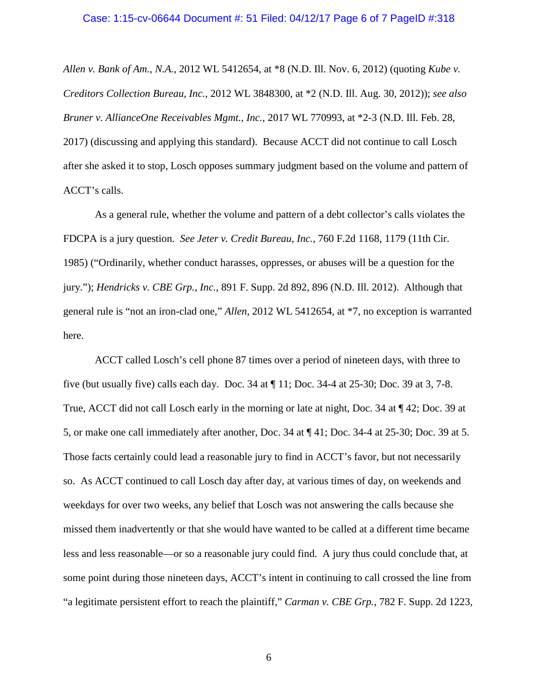#### Case: 1:15-cv-06644 Document #: 51 Filed: 04/12/17 Page 6 of 7 PageID #:318

*Allen v. Bank of Am., N.A.*, 2012 WL 5412654, at \*8 (N.D. Ill. Nov. 6, 2012) (quoting *Kube v. Creditors Collection Bureau, Inc.*, 2012 WL 3848300, at \*2 (N.D. Ill. Aug. 30, 2012)); *see also Bruner v. AllianceOne Receivables Mgmt., Inc.*, 2017 WL 770993, at \*2-3 (N.D. Ill. Feb. 28, 2017) (discussing and applying this standard). Because ACCT did not continue to call Losch after she asked it to stop, Losch opposes summary judgment based on the volume and pattern of ACCT's calls.

As a general rule, whether the volume and pattern of a debt collector's calls violates the FDCPA is a jury question. *See Jeter v. Credit Bureau, Inc.*, 760 F.2d 1168, 1179 (11th Cir. 1985) ("Ordinarily, whether conduct harasses, oppresses, or abuses will be a question for the jury."); *Hendricks v. CBE Grp., Inc.*, 891 F. Supp. 2d 892, 896 (N.D. Ill. 2012). Although that general rule is "not an iron-clad one," *Allen*, 2012 WL 5412654, at \*7, no exception is warranted here.

ACCT called Losch's cell phone 87 times over a period of nineteen days, with three to five (but usually five) calls each day. Doc. 34 at ¶ 11; Doc. 34-4 at 25-30; Doc. 39 at 3, 7-8. True, ACCT did not call Losch early in the morning or late at night, Doc. 34 at ¶ 42; Doc. 39 at 5, or make one call immediately after another, Doc. 34 at ¶ 41; Doc. 34-4 at 25-30; Doc. 39 at 5. Those facts certainly could lead a reasonable jury to find in ACCT's favor, but not necessarily so. As ACCT continued to call Losch day after day, at various times of day, on weekends and weekdays for over two weeks, any belief that Losch was not answering the calls because she missed them inadvertently or that she would have wanted to be called at a different time became less and less reasonable—or so a reasonable jury could find. A jury thus could conclude that, at some point during those nineteen days, ACCT's intent in continuing to call crossed the line from "a legitimate persistent effort to reach the plaintiff," *Carman v. CBE Grp.*, 782 F. Supp. 2d 1223,

6